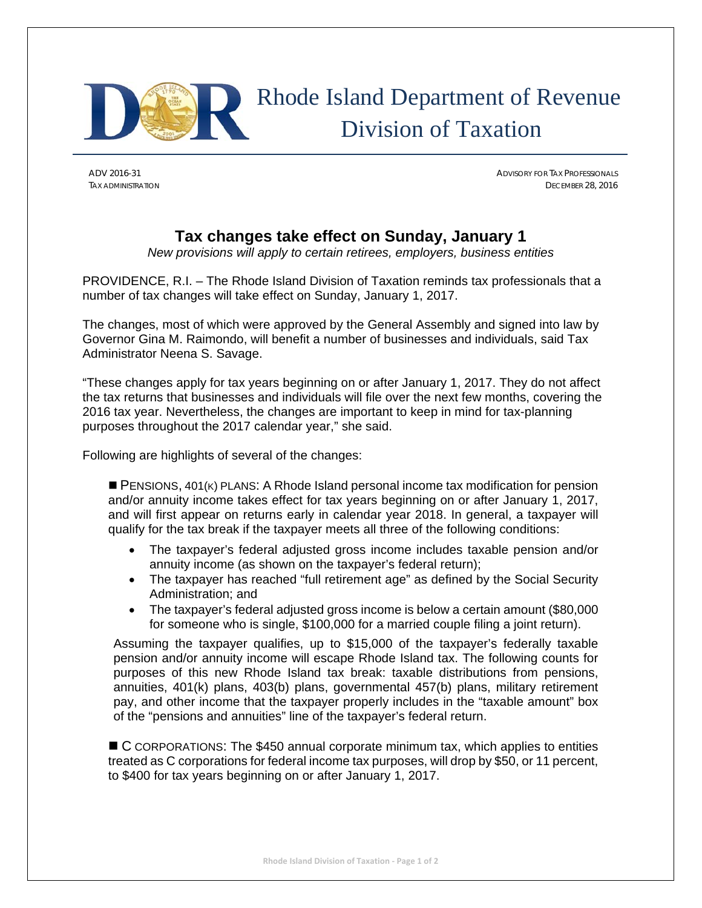

## Rhode Island Department of Revenue Division of Taxation

ADV 2016-31 ADVISORY FOR TAX PROFESSIONALS TAX ADMINISTRATION DECEMBER 28, 2016

## **Tax changes take effect on Sunday, January 1**

*New provisions will apply to certain retirees, employers, business entities* 

PROVIDENCE, R.I. – The Rhode Island Division of Taxation reminds tax professionals that a number of tax changes will take effect on Sunday, January 1, 2017.

The changes, most of which were approved by the General Assembly and signed into law by Governor Gina M. Raimondo, will benefit a number of businesses and individuals, said Tax Administrator Neena S. Savage.

"These changes apply for tax years beginning on or after January 1, 2017. They do not affect the tax returns that businesses and individuals will file over the next few months, covering the 2016 tax year. Nevertheless, the changes are important to keep in mind for tax-planning purposes throughout the 2017 calendar year," she said.

Following are highlights of several of the changes:

**PENSIONS, 401(K) PLANS: A Rhode Island personal income tax modification for pension** and/or annuity income takes effect for tax years beginning on or after January 1, 2017, and will first appear on returns early in calendar year 2018. In general, a taxpayer will qualify for the tax break if the taxpayer meets all three of the following conditions:

- The taxpayer's federal adjusted gross income includes taxable pension and/or annuity income (as shown on the taxpayer's federal return);
- The taxpayer has reached "full retirement age" as defined by the Social Security Administration; and
- The taxpayer's federal adjusted gross income is below a certain amount (\$80,000 for someone who is single, \$100,000 for a married couple filing a joint return).

Assuming the taxpayer qualifies, up to \$15,000 of the taxpayer's federally taxable pension and/or annuity income will escape Rhode Island tax. The following counts for purposes of this new Rhode Island tax break: taxable distributions from pensions, annuities, 401(k) plans, 403(b) plans, governmental 457(b) plans, military retirement pay, and other income that the taxpayer properly includes in the "taxable amount" box of the "pensions and annuities" line of the taxpayer's federal return.

■ C CORPORATIONS: The \$450 annual corporate minimum tax, which applies to entities treated as C corporations for federal income tax purposes, will drop by \$50, or 11 percent, to \$400 for tax years beginning on or after January 1, 2017.